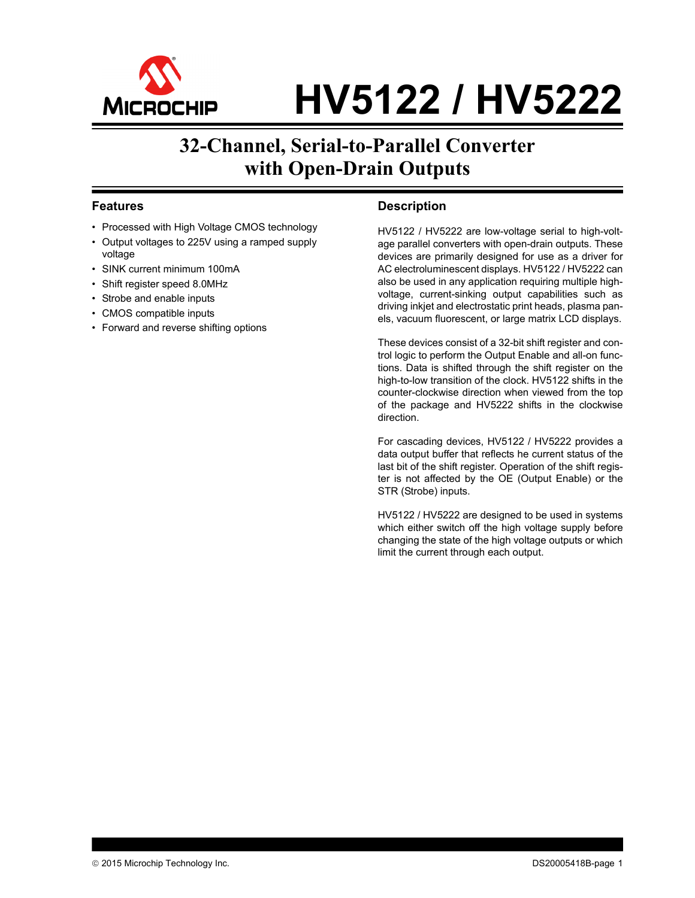

# **HV5122 / HV5222**

## **32-Channel, Serial-to-Parallel Converter with Open-Drain Outputs**

### **Features**

- Processed with High Voltage CMOS technology
- Output voltages to 225V using a ramped supply voltage
- SINK current minimum 100mA
- Shift register speed 8.0MHz
- Strobe and enable inputs
- CMOS compatible inputs
- Forward and reverse shifting options

### **Description**

HV5122 / HV5222 are low-voltage serial to high-voltage parallel converters with open-drain outputs. These devices are primarily designed for use as a driver for AC electroluminescent displays. HV5122 / HV5222 can also be used in any application requiring multiple highvoltage, current-sinking output capabilities such as driving inkjet and electrostatic print heads, plasma panels, vacuum fluorescent, or large matrix LCD displays.

These devices consist of a 32-bit shift register and control logic to perform the Output Enable and all-on functions. Data is shifted through the shift register on the high-to-low transition of the clock. HV5122 shifts in the counter-clockwise direction when viewed from the top of the package and HV5222 shifts in the clockwise direction.

For cascading devices, HV5122 / HV5222 provides a data output buffer that reflects he current status of the last bit of the shift register. Operation of the shift register is not affected by the OE (Output Enable) or the STR (Strobe) inputs.

HV5122 / HV5222 are designed to be used in systems which either switch off the high voltage supply before changing the state of the high voltage outputs or which limit the current through each output.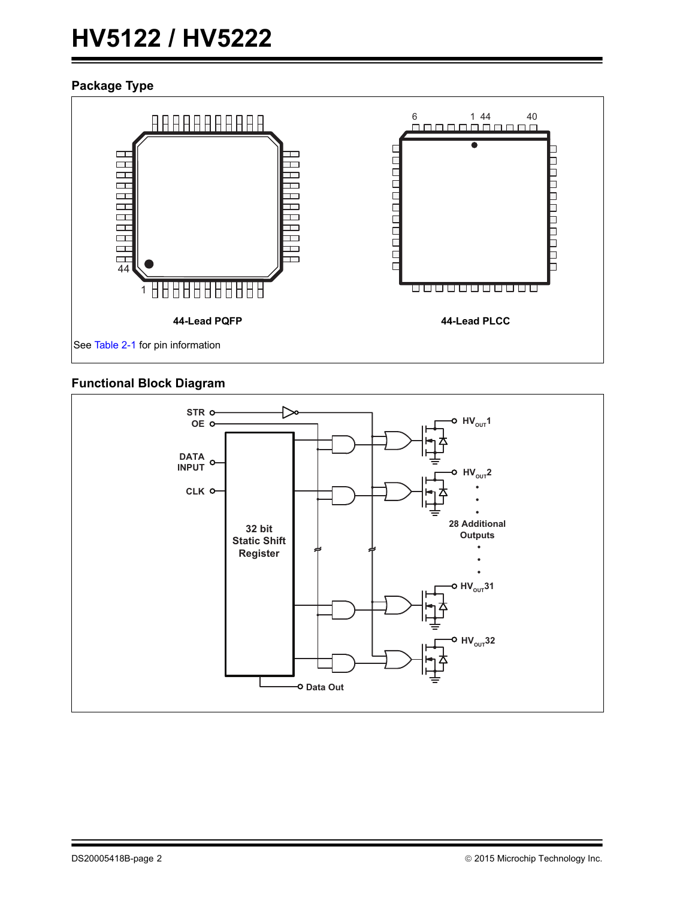# **HV5122 / HV5222**

### <span id="page-1-0"></span>**Package Type**



### **Functional Block Diagram**

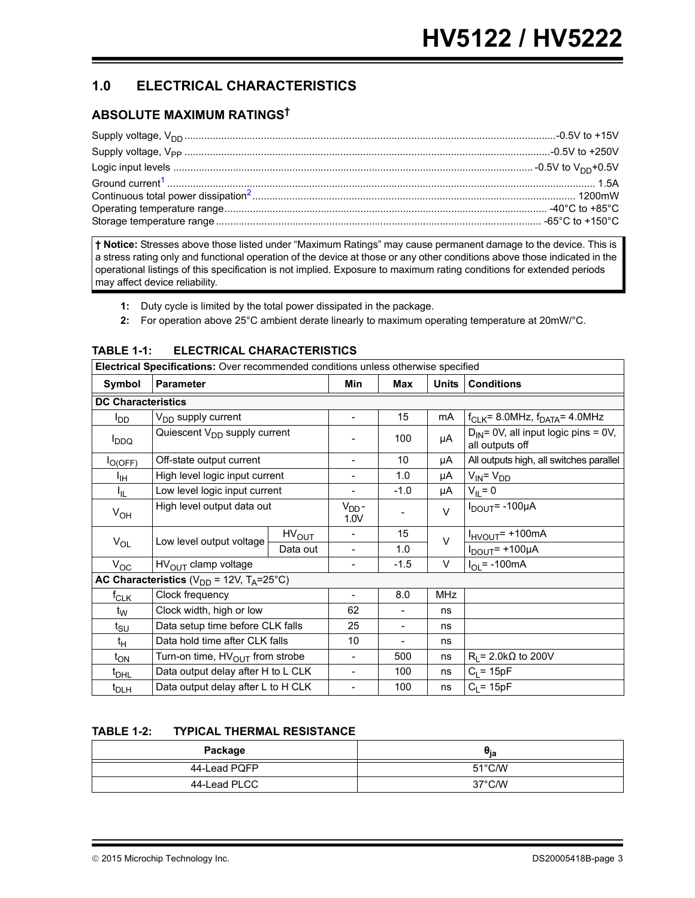### **1.0 ELECTRICAL CHARACTERISTICS**

### <span id="page-2-2"></span>**ABSOLUTE MAXIMUM RATINGS†**

**† Notice:** Stresses above those listed under "Maximum Ratings" may cause permanent damage to the device. This is a stress rating only and functional operation of the device at those or any other conditions above those indicated in the operational listings of this specification is not implied. Exposure to maximum rating conditions for extended periods may affect device reliability.

- <span id="page-2-0"></span>**1:** Duty cycle is limited by the total power dissipated in the package.
- <span id="page-2-1"></span>**2:** For operation above 25°C ambient derate linearly to maximum operating temperature at 20mW/°C.

|                           | Electrical Specifications: Over recommended conditions unless otherwise specified |                           |                          |        |                               |                                                              |  |  |  |  |  |
|---------------------------|-----------------------------------------------------------------------------------|---------------------------|--------------------------|--------|-------------------------------|--------------------------------------------------------------|--|--|--|--|--|
| Symbol                    | <b>Parameter</b>                                                                  |                           | Min                      | Max    | <b>Units</b>                  | <b>Conditions</b>                                            |  |  |  |  |  |
| <b>DC Characteristics</b> |                                                                                   |                           |                          |        |                               |                                                              |  |  |  |  |  |
| l <sub>DD</sub>           | V <sub>DD</sub> supply current                                                    |                           | $\blacksquare$           | 15     | mA                            | $f_{CLK}$ = 8.0MHz, $f_{DATA}$ = 4.0MHz                      |  |  |  |  |  |
| <b>DDQ</b>                | Quiescent V <sub>DD</sub> supply current                                          |                           |                          | 100    | μA                            | $D_{IN}$ = 0V, all input logic pins = 0V,<br>all outputs off |  |  |  |  |  |
| $I_{O(OFF)}$              | Off-state output current                                                          |                           | $\overline{\phantom{a}}$ | 10     | μA                            | All outputs high, all switches parallel                      |  |  |  |  |  |
| ŀщ                        | High level logic input current                                                    |                           | $\overline{\phantom{0}}$ | 1.0    | μA                            | $V_{\text{IN}} = V_{\text{DD}}$                              |  |  |  |  |  |
| I <sub>IL</sub>           | Low level logic input current                                                     | $\overline{\phantom{a}}$  | $-1.0$                   | μA     | $V_{IL} = 0$                  |                                                              |  |  |  |  |  |
| $V_{OH}$                  | High level output data out                                                        | V <sub>DD</sub> -<br>1.0V |                          | $\vee$ | $I_{DOUT}$ = -100µA           |                                                              |  |  |  |  |  |
|                           | Low level output voltage                                                          | HV <sub>OUT</sub>         | $\overline{\phantom{a}}$ | 15     | $\vee$                        | $I_{HVOUT}$ = +100mA                                         |  |  |  |  |  |
| $V_{OL}$                  |                                                                                   | Data out                  | $\overline{\phantom{a}}$ | 1.0    |                               | $I_{DOUT}$ = +100µA                                          |  |  |  |  |  |
| $V_{OC}$                  | $HVOUT$ clamp voltage                                                             |                           | $\overline{\phantom{a}}$ | $-1.5$ | V                             | $I_{OL}$ = -100mA                                            |  |  |  |  |  |
|                           | AC Characteristics ( $V_{DD}$ = 12V, T <sub>A</sub> =25°C)                        |                           |                          |        |                               |                                                              |  |  |  |  |  |
| $f_{CLK}$                 | Clock frequency                                                                   |                           | $\overline{\phantom{a}}$ | 8.0    | <b>MHz</b>                    |                                                              |  |  |  |  |  |
| $t_{\rm W}$               | Clock width, high or low                                                          |                           | 62                       |        | ns                            |                                                              |  |  |  |  |  |
| $t_{\text{SU}}$           | Data setup time before CLK falls                                                  |                           | 25                       |        | ns                            |                                                              |  |  |  |  |  |
| $t_H$                     | Data hold time after CLK falls                                                    | 10                        | $\overline{\phantom{a}}$ | ns     |                               |                                                              |  |  |  |  |  |
| $t_{ON}$                  | Turn-on time, $HV_{OUT}$ from strobe                                              | $\blacksquare$            | 500                      | ns     | $R_1$ = 2.0k $\Omega$ to 200V |                                                              |  |  |  |  |  |
| t <sub>DHL</sub>          | Data output delay after H to L CLK                                                |                           | $\overline{a}$           | 100    | ns                            | $C_1 = 15pF$                                                 |  |  |  |  |  |
| $t_{\text{DLH}}$          | Data output delay after L to H CLK                                                |                           | $\blacksquare$           | 100    | ns                            | $C_1 = 15pF$                                                 |  |  |  |  |  |

### **TABLE 1-1: ELECTRICAL CHARACTERISTICS**

### **TABLE 1-2: TYPICAL THERMAL RESISTANCE**

| Package      | σ <sub>ia</sub>  |
|--------------|------------------|
| 44-Lead PQFP | $51^{\circ}$ C/W |
| 44-Lead PLCC | 37°C/W           |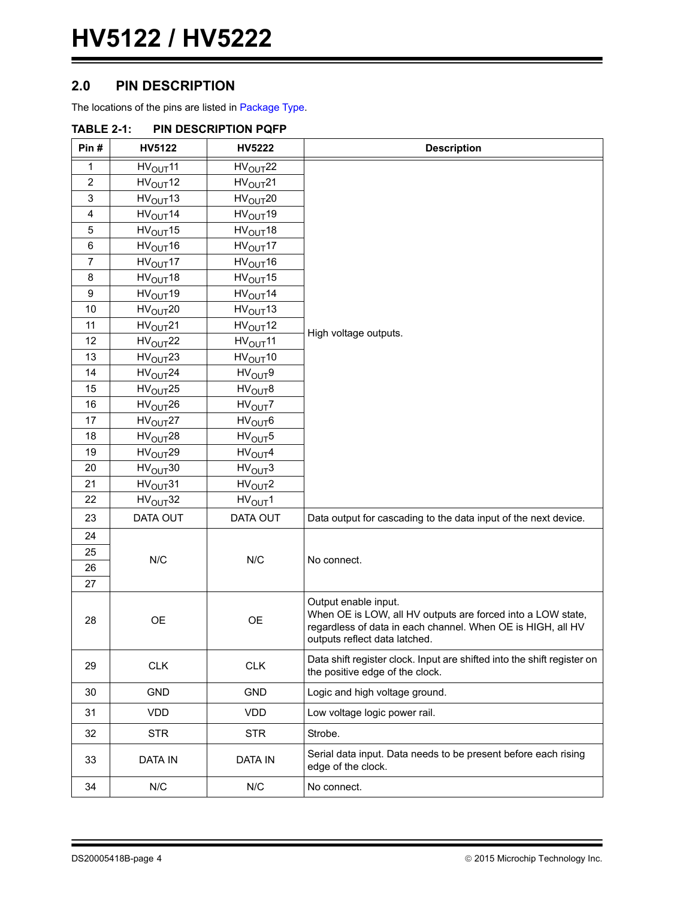### **2.0 PIN DESCRIPTION**

The locations of the pins are listed in [Package Type](#page-1-0).

| IADLE 4-I.     |                             | <u>FIN DESUNIF HUN FUTF</u> |                                                                                                                                                                                     |  |  |  |  |  |
|----------------|-----------------------------|-----------------------------|-------------------------------------------------------------------------------------------------------------------------------------------------------------------------------------|--|--|--|--|--|
| Pin#           | <b>HV5122</b>               | HV5222                      | <b>Description</b>                                                                                                                                                                  |  |  |  |  |  |
| 1              | HV <sub>OUT</sub> 11        | HV <sub>OUT</sub> 22        |                                                                                                                                                                                     |  |  |  |  |  |
| $\overline{2}$ | HV <sub>OUT</sub> 12        | HV <sub>OUT</sub> 21        |                                                                                                                                                                                     |  |  |  |  |  |
| 3              | HV <sub>OUT</sub> 13        | HV <sub>OUT</sub> 20        |                                                                                                                                                                                     |  |  |  |  |  |
| 4              | HV <sub>OUT</sub> 14        | HV <sub>OUT</sub> 19        |                                                                                                                                                                                     |  |  |  |  |  |
| 5              | HV <sub>OUT</sub> 15        | HV <sub>OUT</sub> 18        |                                                                                                                                                                                     |  |  |  |  |  |
| 6              | HV <sub>OUT</sub> 16        | HV <sub>OUT</sub> 17        |                                                                                                                                                                                     |  |  |  |  |  |
| 7              | HV <sub>OUT</sub> 17        | HV <sub>OUT</sub> 16        |                                                                                                                                                                                     |  |  |  |  |  |
| 8              | HV <sub>OUT</sub> 18        | HV <sub>OUT</sub> 15        |                                                                                                                                                                                     |  |  |  |  |  |
| 9              | HV <sub>OUT</sub> 19        | HV <sub>OUT</sub> 14        |                                                                                                                                                                                     |  |  |  |  |  |
| 10             | HV <sub>OUT</sub> 20        | HV <sub>OUT</sub> 13        |                                                                                                                                                                                     |  |  |  |  |  |
| 11             | HV <sub>OUT</sub> 21        | HV <sub>OUT</sub> 12        | High voltage outputs.                                                                                                                                                               |  |  |  |  |  |
| 12             | HV <sub>OUT</sub> 22        | HV <sub>OUT</sub> 11        |                                                                                                                                                                                     |  |  |  |  |  |
| 13             | HV <sub>OUT</sub> 23        | HV <sub>OUT</sub> 10        |                                                                                                                                                                                     |  |  |  |  |  |
| 14             | HV <sub>OUT</sub> 24        | HV <sub>OUT</sub> 9         |                                                                                                                                                                                     |  |  |  |  |  |
| 15             | HV <sub>OUT</sub> 25        | HV <sub>OUT</sub> 8         |                                                                                                                                                                                     |  |  |  |  |  |
| 16             | $\text{HV}_{\text{OUT}}$ 26 | HV <sub>OUT</sub> 7         |                                                                                                                                                                                     |  |  |  |  |  |
| 17             | HV <sub>OUT</sub> 27        | HV <sub>OUT</sub> 6         |                                                                                                                                                                                     |  |  |  |  |  |
| 18             | HV <sub>OUT</sub> 28        | HV <sub>OUT</sub> 5         |                                                                                                                                                                                     |  |  |  |  |  |
| 19             | HV <sub>OUT</sub> 29        | HV <sub>OUT</sub> 4         |                                                                                                                                                                                     |  |  |  |  |  |
| 20             | HV <sub>OUT</sub> 30        | HV <sub>OUT</sub> 3         |                                                                                                                                                                                     |  |  |  |  |  |
| 21             | HV <sub>OUT</sub> 31        | HV <sub>OUT</sub> 2         |                                                                                                                                                                                     |  |  |  |  |  |
| 22             | HV <sub>OUT</sub> 32        | HV <sub>OUT</sub> 1         |                                                                                                                                                                                     |  |  |  |  |  |
| 23             | DATA OUT                    | DATA OUT                    | Data output for cascading to the data input of the next device.                                                                                                                     |  |  |  |  |  |
| 24             |                             |                             |                                                                                                                                                                                     |  |  |  |  |  |
| 25             |                             |                             |                                                                                                                                                                                     |  |  |  |  |  |
| 26             | N/C                         | N/C                         | No connect.                                                                                                                                                                         |  |  |  |  |  |
| 27             |                             |                             |                                                                                                                                                                                     |  |  |  |  |  |
| 28             | OE                          | OE                          | Output enable input.<br>When OE is LOW, all HV outputs are forced into a LOW state,<br>regardless of data in each channel. When OE is HIGH, all HV<br>outputs reflect data latched. |  |  |  |  |  |
| 29             | <b>CLK</b>                  | CLK                         | Data shift register clock. Input are shifted into the shift register on<br>the positive edge of the clock.                                                                          |  |  |  |  |  |
| 30             | <b>GND</b>                  | <b>GND</b>                  | Logic and high voltage ground.                                                                                                                                                      |  |  |  |  |  |
| 31             | <b>VDD</b>                  | <b>VDD</b>                  | Low voltage logic power rail.                                                                                                                                                       |  |  |  |  |  |
| 32             | <b>STR</b>                  | <b>STR</b>                  | Strobe.                                                                                                                                                                             |  |  |  |  |  |
| 33             | <b>DATA IN</b>              | <b>DATA IN</b>              | Serial data input. Data needs to be present before each rising<br>edge of the clock.                                                                                                |  |  |  |  |  |
| 34             | N/C                         | N/C                         | No connect.                                                                                                                                                                         |  |  |  |  |  |

### <span id="page-3-0"></span>**TABLE 2-1: PIN DESCRIPTION PQFP**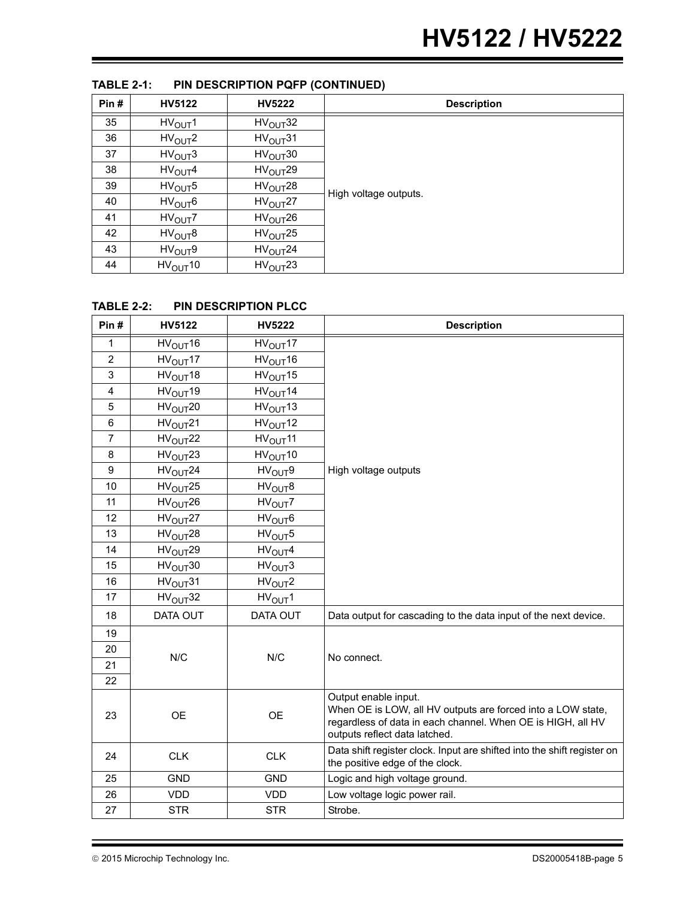| Pin# | <b>HV5122</b>       | <b>HV5222</b>        | <b>Description</b>    |
|------|---------------------|----------------------|-----------------------|
| 35   | HV <sub>OUT</sub> 1 | $HV_{OUT}32$         |                       |
| 36   | HV <sub>OUT</sub> 2 | HV <sub>OUT</sub> 31 |                       |
| 37   | HV <sub>OUT</sub> 3 | $HV_{OUT}30$         |                       |
| 38   | HV <sub>OUT</sub> 4 | $HV_{OUT}29$         |                       |
| 39   | HV <sub>OUT</sub> 5 | HV <sub>OUT</sub> 28 | High voltage outputs. |
| 40   | HV <sub>OUT</sub> 6 | HV <sub>OUT</sub> 27 |                       |
| 41   | HV <sub>OUT</sub> 7 | HV <sub>OUT</sub> 26 |                       |
| 42   | HV <sub>OUT</sub> 8 | HV <sub>OUT</sub> 25 |                       |
| 43   | HV <sub>OUT</sub> 9 | HV <sub>OUT</sub> 24 |                       |
| 44   | $HV_{OUT}10$        | HV <sub>OUT</sub> 23 |                       |

### **TABLE 2-1: PIN DESCRIPTION PQFP (CONTINUED)**

### **TABLE 2-2: PIN DESCRIPTION PLCC**

| Pin#           | HV5122               | <b>HV5222</b>        | <b>Description</b>                                                                                                                                                                  |
|----------------|----------------------|----------------------|-------------------------------------------------------------------------------------------------------------------------------------------------------------------------------------|
| $\mathbf{1}$   | HV <sub>OUT</sub> 16 | HV <sub>OUT</sub> 17 |                                                                                                                                                                                     |
| $\overline{2}$ | HV <sub>OUT</sub> 17 | HV <sub>OUT</sub> 16 |                                                                                                                                                                                     |
| 3              | HV <sub>OUT</sub> 18 | HV <sub>OUT</sub> 15 |                                                                                                                                                                                     |
| 4              | HV <sub>OUT</sub> 19 | HV <sub>OUT</sub> 14 |                                                                                                                                                                                     |
| 5              | HV <sub>OUT</sub> 20 | HV <sub>OUT</sub> 13 |                                                                                                                                                                                     |
| 6              | HV <sub>OUT</sub> 21 | HV <sub>OUT</sub> 12 |                                                                                                                                                                                     |
| $\overline{7}$ | HV <sub>OUT</sub> 22 | HV <sub>OUT</sub> 11 |                                                                                                                                                                                     |
| 8              | HV <sub>OUT</sub> 23 | HV <sub>OUT</sub> 10 |                                                                                                                                                                                     |
| 9              | HV <sub>OUT</sub> 24 | HV <sub>OUT</sub> 9  | High voltage outputs                                                                                                                                                                |
| 10             | HV <sub>OUT</sub> 25 | HV <sub>OUT</sub> 8  |                                                                                                                                                                                     |
| 11             | HV <sub>OUT</sub> 26 | HV <sub>OUT</sub> 7  |                                                                                                                                                                                     |
| 12             | HV <sub>OUT</sub> 27 | HV <sub>OUT</sub> 6  |                                                                                                                                                                                     |
| 13             | HV <sub>OUT</sub> 28 | HV <sub>OUT</sub> 5  |                                                                                                                                                                                     |
| 14             | HV <sub>OUT</sub> 29 | HV <sub>OUT</sub> 4  |                                                                                                                                                                                     |
| 15             | HV <sub>OUT</sub> 30 | HV <sub>OUT</sub> 3  |                                                                                                                                                                                     |
| 16             | HV <sub>OUT</sub> 31 | HV <sub>OUT</sub> 2  |                                                                                                                                                                                     |
| 17             | HV <sub>OUT</sub> 32 | HV <sub>OUT</sub> 1  |                                                                                                                                                                                     |
| 18             | DATA OUT             | DATA OUT             | Data output for cascading to the data input of the next device.                                                                                                                     |
| 19             |                      |                      |                                                                                                                                                                                     |
| 20             | N/C                  | N/C                  | No connect.                                                                                                                                                                         |
| 21             |                      |                      |                                                                                                                                                                                     |
| 22             |                      |                      |                                                                                                                                                                                     |
| 23             | <b>OE</b>            | <b>OE</b>            | Output enable input.<br>When OE is LOW, all HV outputs are forced into a LOW state,<br>regardless of data in each channel. When OE is HIGH, all HV<br>outputs reflect data latched. |
| 24             | <b>CLK</b>           | <b>CLK</b>           | Data shift register clock. Input are shifted into the shift register on<br>the positive edge of the clock.                                                                          |
| 25             | <b>GND</b>           | <b>GND</b>           | Logic and high voltage ground.                                                                                                                                                      |
| 26             | <b>VDD</b>           | <b>VDD</b>           | Low voltage logic power rail.                                                                                                                                                       |
| 27             | <b>STR</b>           | <b>STR</b>           | Strobe.                                                                                                                                                                             |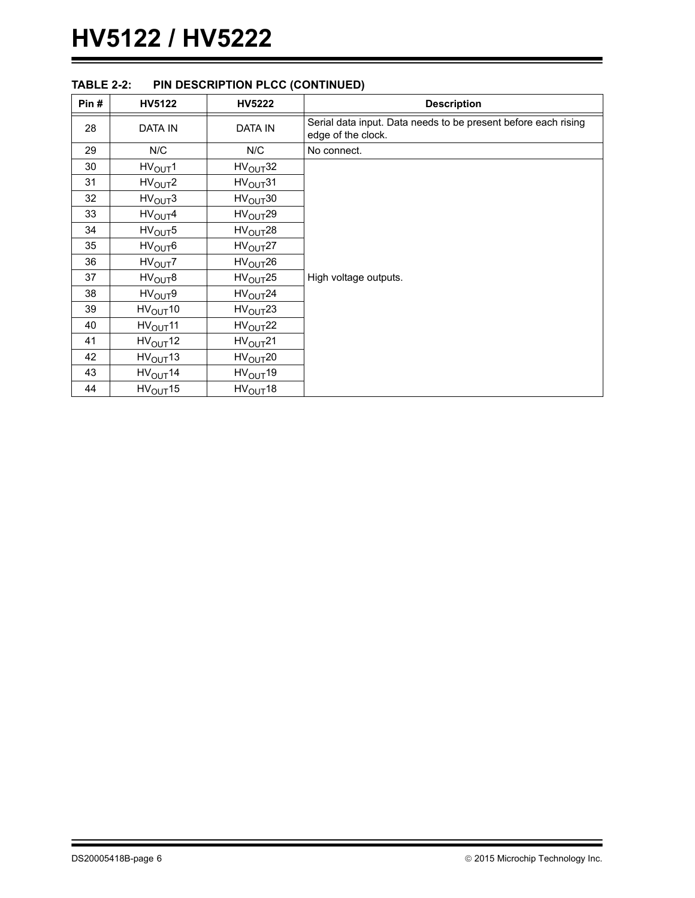| Pin# | HV5122               | <b>HV5222</b>        | <b>Description</b>                                                                   |
|------|----------------------|----------------------|--------------------------------------------------------------------------------------|
| 28   | <b>DATA IN</b>       | <b>DATA IN</b>       | Serial data input. Data needs to be present before each rising<br>edge of the clock. |
| 29   | N/C                  | N/C                  | No connect.                                                                          |
| 30   | HV <sub>OUT</sub> 1  | HV <sub>OUT</sub> 32 |                                                                                      |
| 31   | HV <sub>OUT</sub> 2  | HV <sub>OUT</sub> 31 |                                                                                      |
| 32   | HV <sub>OUT</sub> 3  | HV <sub>OUT</sub> 30 |                                                                                      |
| 33   | HV <sub>OUT</sub> 4  | HV <sub>OUT</sub> 29 |                                                                                      |
| 34   | HV <sub>OUT</sub> 5  | HV <sub>OUT</sub> 28 |                                                                                      |
| 35   | HV <sub>OUT</sub> 6  | HV <sub>OUT</sub> 27 |                                                                                      |
| 36   | HV <sub>OUT</sub> 7  | HV <sub>OUT</sub> 26 |                                                                                      |
| 37   | HV <sub>OUT</sub> 8  | HV <sub>OUT</sub> 25 | High voltage outputs.                                                                |
| 38   | HV <sub>OUT</sub> 9  | HV <sub>OUT</sub> 24 |                                                                                      |
| 39   | $HV_{OUT}10$         | HV <sub>OUT</sub> 23 |                                                                                      |
| 40   | $HV_{OUT}11$         | HV <sub>OUT</sub> 22 |                                                                                      |
| 41   | $HV_{OUT}12$         | HV <sub>OUT</sub> 21 |                                                                                      |
| 42   | $HV_{OUT}13$         | HV <sub>OUT</sub> 20 |                                                                                      |
| 43   | HV <sub>OUT</sub> 14 | HV <sub>OUT</sub> 19 |                                                                                      |
| 44   | HV <sub>OUT</sub> 15 | HV <sub>OUT</sub> 18 |                                                                                      |

### **TABLE 2-2: PIN DESCRIPTION PLCC (CONTINUED)**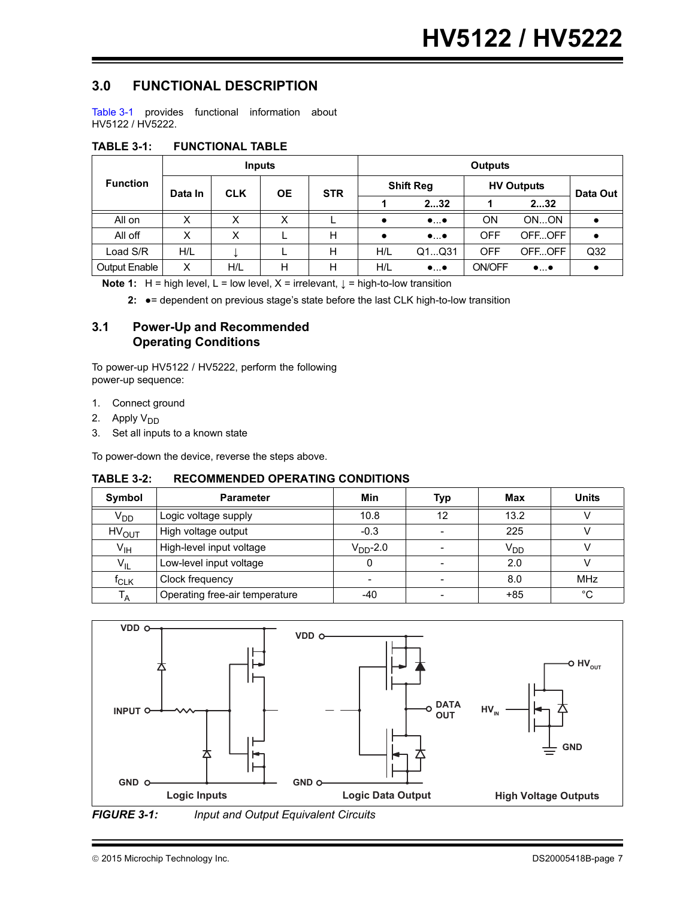### **3.0 FUNCTIONAL DESCRIPTION**

[Table 3-1](#page-6-0) provides functional information about HV5122 / HV5222.

<span id="page-6-0"></span>

| <b>TABLE 3-1:</b> | <b>FUNCTIONAL TABLE</b> |  |
|-------------------|-------------------------|--|
|                   |                         |  |

| <b>Function</b>      |         |            | <b>Inputs</b> |            | <b>Outputs</b> |                          |               |                          |                 |  |  |
|----------------------|---------|------------|---------------|------------|----------------|--------------------------|---------------|--------------------------|-----------------|--|--|
|                      | Data In | <b>CLK</b> | <b>OE</b>     | <b>STR</b> |                | <b>Shift Reg</b>         |               | <b>HV Outputs</b>        |                 |  |  |
|                      |         |            |               |            |                | 232                      |               | 232                      | Data Out        |  |  |
| All on               | X       | X          | X             |            |                | $\bullet \ldots \bullet$ | <b>ON</b>     | ONON                     |                 |  |  |
| All off              | Χ       | x          |               | н          |                | $\bullet \ldots \bullet$ | <b>OFF</b>    | OFFOFF                   | $\bullet$       |  |  |
| Load S/R             | H/L     |            |               | Н          | H/L            | Q1Q31                    | <b>OFF</b>    | OFFOFF                   | Q <sub>32</sub> |  |  |
| <b>Output Enable</b> | Χ       | H/L        | н             | н          | H/L            | $\bullet \ldots \bullet$ | <b>ON/OFF</b> | $\bullet \ldots \bullet$ |                 |  |  |

**Note 1:** H = high level, L = low level, X = irrelevant,  $\downarrow$  = high-to-low transition

**2:** ●= dependent on previous stage's state before the last CLK high-to-low transition

### **3.1 Power-Up and Recommended Operating Conditions**

To power-up HV5122 / HV5222, perform the following power-up sequence:

- 1. Connect ground
- 2. Apply  $V_{DD}$
- 3. Set all inputs to a known state

To power-down the device, reverse the steps above.

### **TABLE 3-2: RECOMMENDED OPERATING CONDITIONS**

| <b>Symbol</b>           | <b>Parameter</b>               | Min        | Typ | Max             | <b>Units</b> |
|-------------------------|--------------------------------|------------|-----|-----------------|--------------|
| V <sub>DD</sub>         | Logic voltage supply           | 10.8       | 12  | 13.2            |              |
| <b>HV<sub>OUT</sub></b> | High voltage output            | $-0.3$     |     | 225             |              |
| $V_{\text{IH}}$         | High-level input voltage       | $VDD$ -2.0 |     | V <sub>DD</sub> |              |
| $V_{IL}$                | Low-level input voltage        |            |     | 2.0             |              |
| $f_{CLK}$               | Clock frequency                |            |     | 8.0             | <b>MHz</b>   |
| $T_A$                   | Operating free-air temperature | -40        |     | $+85$           | $^{\circ}C$  |



*FIGURE 3-1: Input and Output Equivalent Circuits*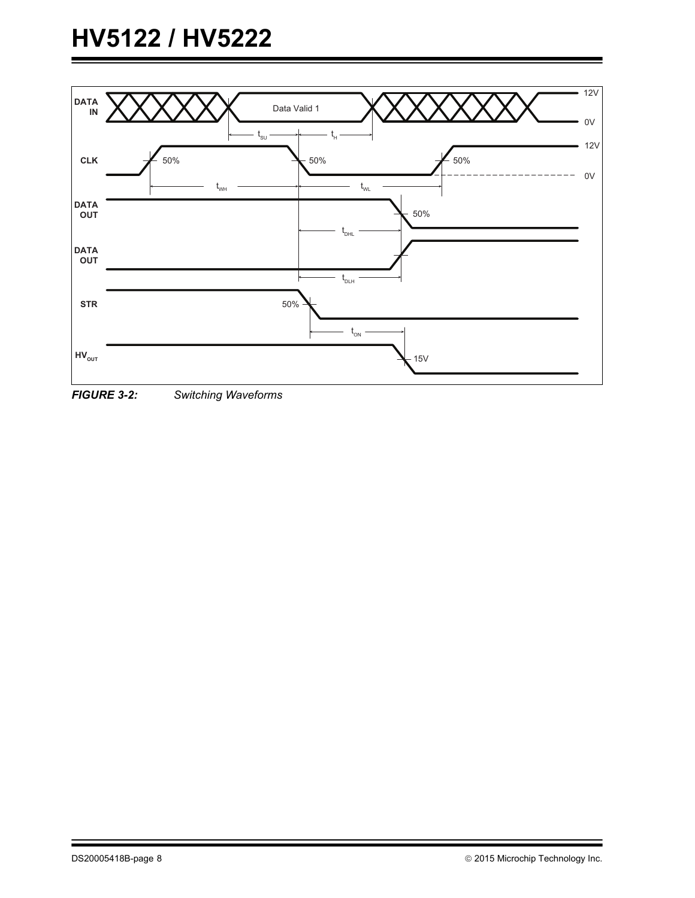# **HV5122 / HV5222**



*FIGURE 3-2: Switching Waveforms*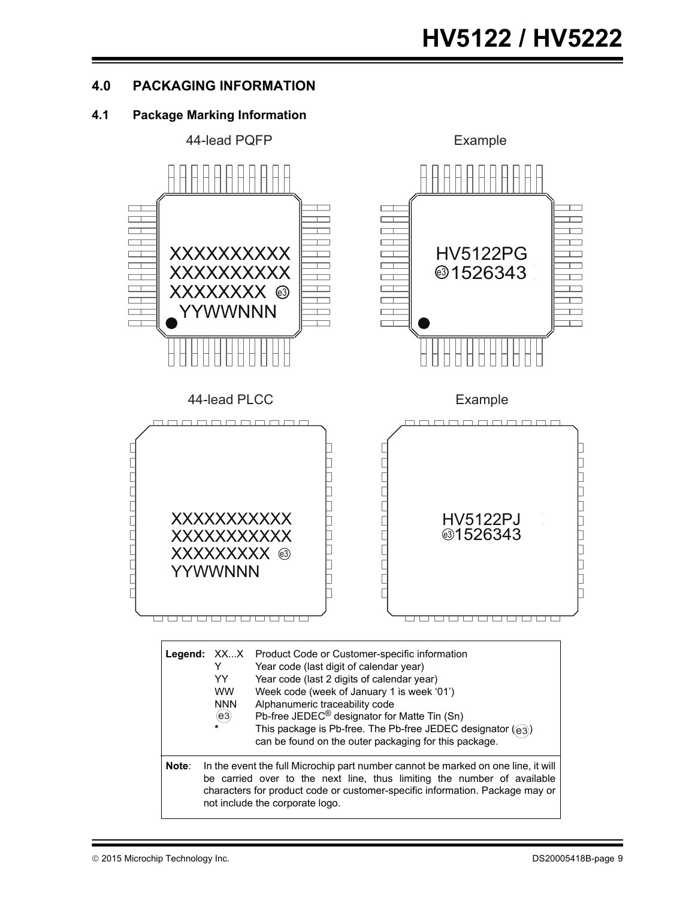### **4.0 PACKAGING INFORMATION**

### **4.1 Package Marking Information**

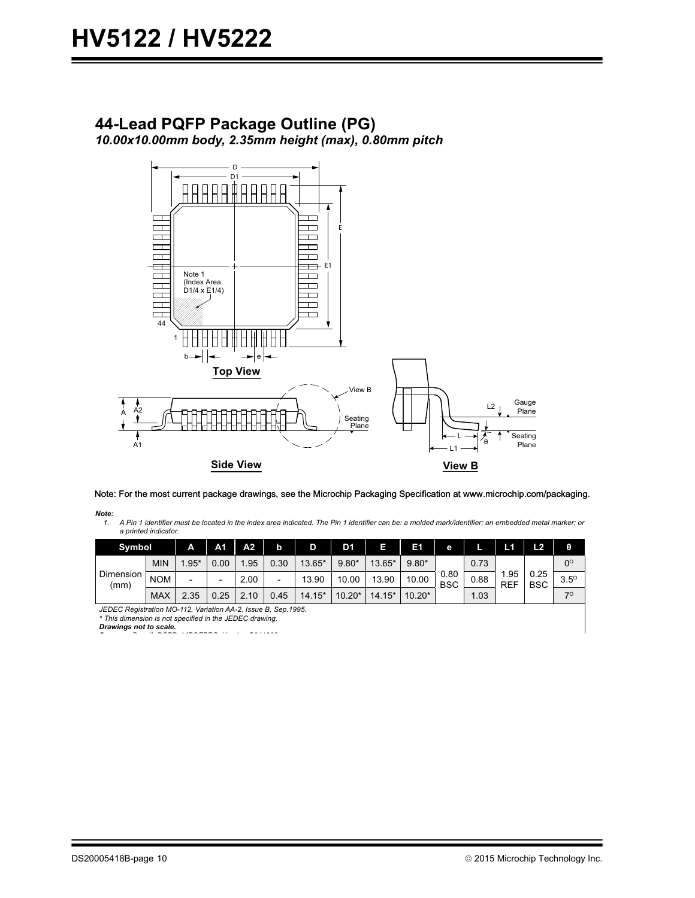# **44-Lead PQFP Package Outline (PG)**

*10.00x10.00mm body, 2.35mm height (max), 0.80mm pitch*



Note: For the most current package drawings, see the Microchip Packaging Specification at www.microchip.com/packaging.

*Note:* A Pin 1 identifier must be located in the index area indicated. The Pin 1 identifier can be: a molded mark/identifier; an embedded metal marker; or *a printed indicator.*

| <b>Symbol</b>     |            | A      | A1   | A <sub>2</sub> | o    | D        | D1       |          | E1       | е                  | r    | L1                 | L2                 | θ           |
|-------------------|------------|--------|------|----------------|------|----------|----------|----------|----------|--------------------|------|--------------------|--------------------|-------------|
| Dimension<br>(mm) | <b>MIN</b> | $.95*$ | 0.00 | .95            | 0.30 | 13.65*   | $9.80*$  | 13.65*   | $9.80*$  |                    | 0.73 |                    |                    | $0^{\circ}$ |
|                   | <b>NOM</b> | $\,$   | -    | 2.00           | -    | 13.90    | 10.00    | 13.90    | 10.00    | 0.80<br><b>BSC</b> | 0.88 | l.95<br><b>REF</b> | 0.25<br><b>BSC</b> | $3.5^\circ$ |
|                   | <b>MAX</b> | 2.35   | 0.25 | 10             | 0.45 | $14.15*$ | $10.20*$ | $14.15*$ | $10.20*$ |                    | 1.03 |                    |                    | 70          |

*JEDEC Registration MO-112, Variation AA-2, Issue B, Sep.1995.*<br>\* This dimension is not specified in the JEDEC drawing.

*Drawings not to scale. S D # DSPD 44PQFPPG V i C041309*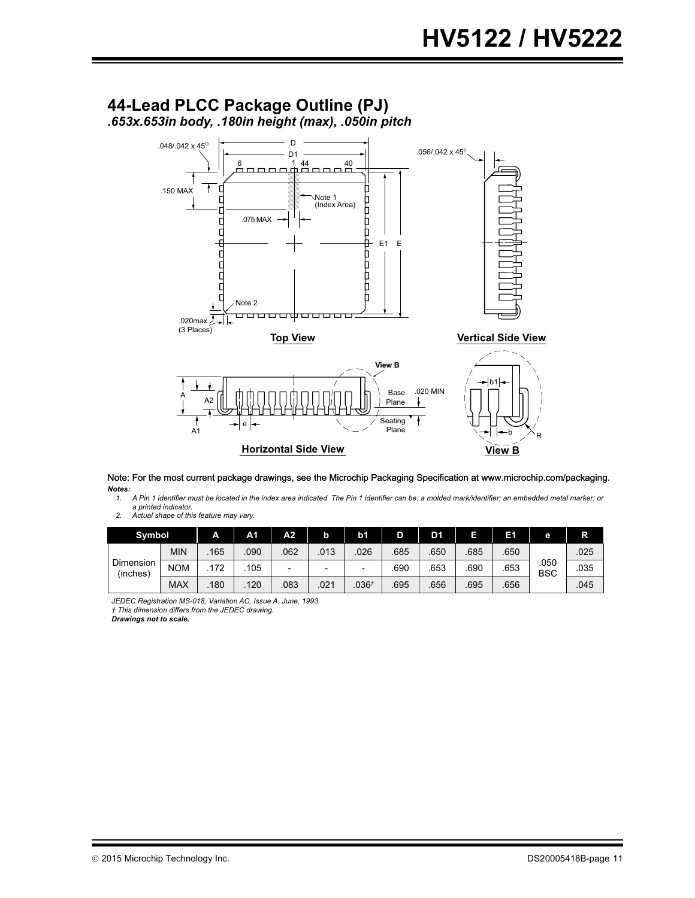

*Notes:* Note: For the most current package drawings, see the Microchip Packaging Specification at www.microchip.com/packaging.

**..c..**<br>1. A Pin 1 identifier must be located in the index area indicated. The Pin 1 identifier can be: a molded mark/identifier; an embedded metal marker; or *a printed indicator.*

2. Actual shape of this feature may vary.

| <b>Symbol</b>         |            | A    | A <sub>1</sub> | A2.                      | b    | b1                | D    | D1   |      | Eſ   | е                  | R    |
|-----------------------|------------|------|----------------|--------------------------|------|-------------------|------|------|------|------|--------------------|------|
| Dimension<br>(inches) | <b>MIN</b> | .165 | .090           | 062                      | 013  | 026               | 685  | .650 | .685 | .650 |                    | .025 |
|                       | <b>NOM</b> | 72   | 105            | $\overline{\phantom{0}}$ | ۰    | ۰                 | .690 | 653  | .690 | .653 | .050<br><b>BSC</b> | .035 |
|                       | <b>MAX</b> | 180  | 120            | 083                      | .021 | .036 <sup>†</sup> | .695 | .656 | .695 | .656 |                    | .045 |

*JEDEC Registration MS-018, Variation AC, Issue A, June, 1993. † This dimension differs from the JEDEC drawing.*

*Drawings not to scale.*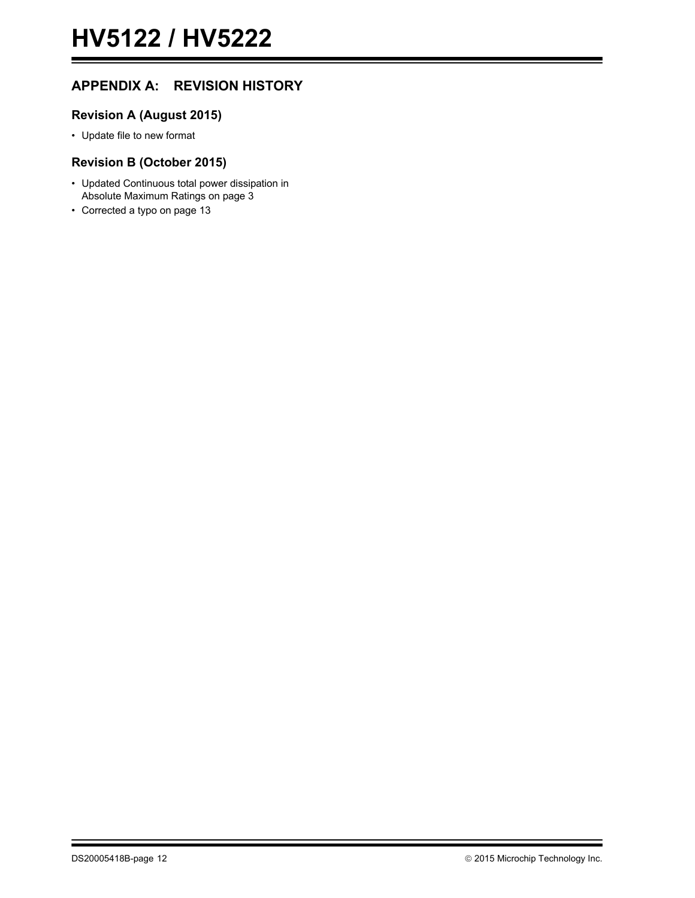### **APPENDIX A: REVISION HISTORY**

### **Revision A (August 2015)**

• Update file to new format

### **Revision B (October 2015)**

- Updated Continuous total power dissipation in Absolute Maximum Ratings on page [3](#page-2-2)
- Corrected a typo on page [13](#page-12-0)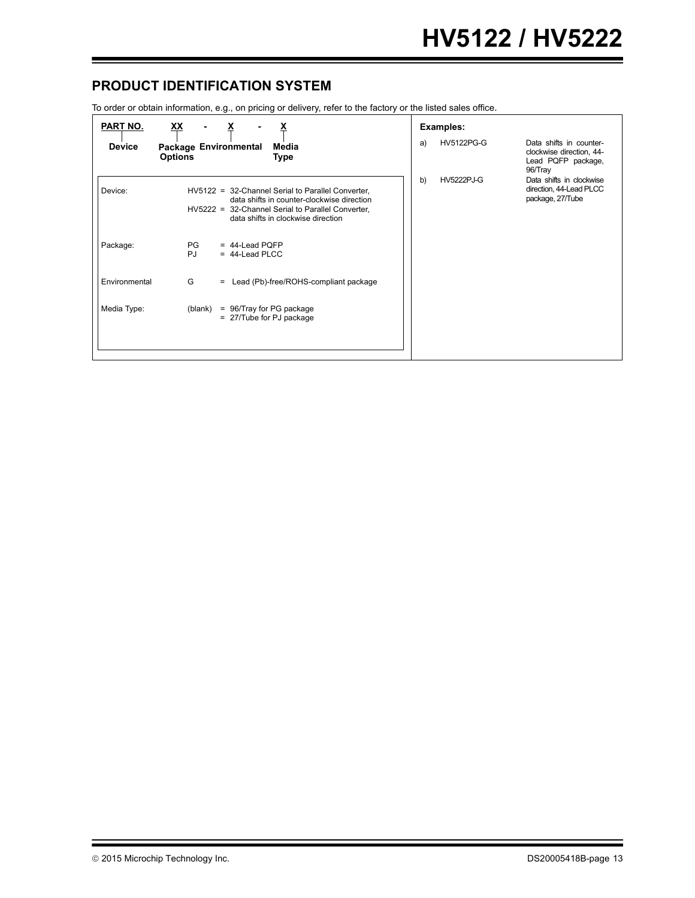### <span id="page-12-0"></span>**PRODUCT IDENTIFICATION SYSTEM**

To order or obtain information, e.g., on pricing or delivery, refer to the factory or the listed sales office.

| <b>PART NO.</b><br><u>XX</u> |                                                                                                                                                                                            |    | Examples:         |                                                                                      |  |
|------------------------------|--------------------------------------------------------------------------------------------------------------------------------------------------------------------------------------------|----|-------------------|--------------------------------------------------------------------------------------|--|
| <b>Device</b>                | Package Environmental<br>Media<br><b>Options</b><br><b>Type</b>                                                                                                                            | a) | <b>HV5122PG-G</b> | Data shifts in counter-<br>clockwise direction, 44-<br>Lead PQFP package,<br>96/Tray |  |
| Device:                      | HV5122 = 32-Channel Serial to Parallel Converter,<br>data shifts in counter-clockwise direction<br>HV5222 = 32-Channel Serial to Parallel Converter,<br>data shifts in clockwise direction | b) | <b>HV5222PJ-G</b> | Data shifts in clockwise<br>direction, 44-Lead PLCC<br>package, 27/Tube              |  |
| Package:                     | PG<br>$= 44$ -Lead PQFP<br><b>PJ</b><br>$= 44$ -Lead PLCC                                                                                                                                  |    |                   |                                                                                      |  |
| Environmental                | G<br>= Lead (Pb)-free/ROHS-compliant package                                                                                                                                               |    |                   |                                                                                      |  |
| Media Type:                  | (blank)<br>= 96/Tray for PG package<br>= 27/Tube for PJ package                                                                                                                            |    |                   |                                                                                      |  |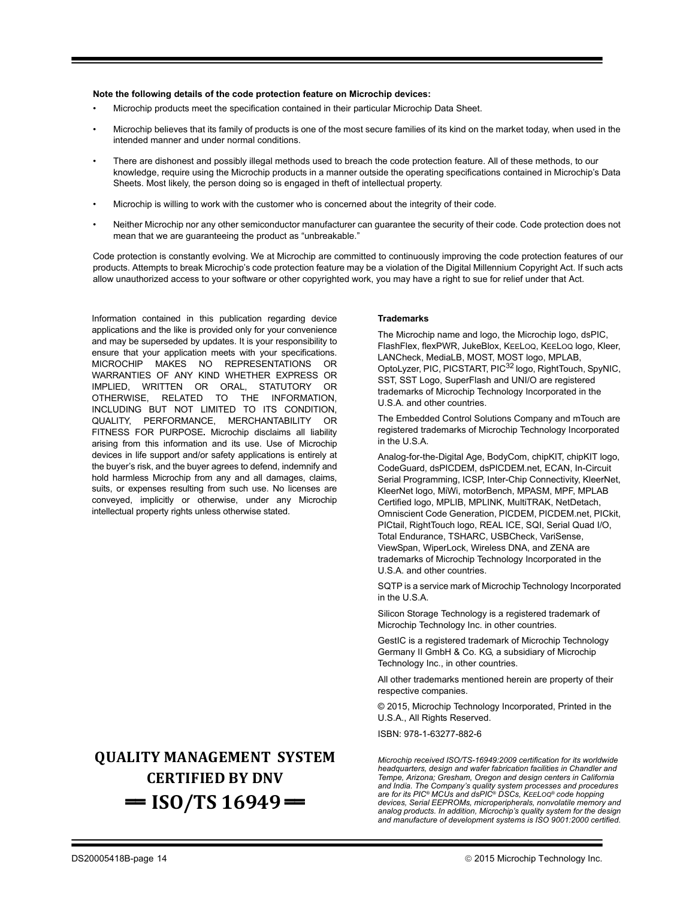#### **Note the following details of the code protection feature on Microchip devices:**

- Microchip products meet the specification contained in their particular Microchip Data Sheet.
- Microchip believes that its family of products is one of the most secure families of its kind on the market today, when used in the intended manner and under normal conditions.
- There are dishonest and possibly illegal methods used to breach the code protection feature. All of these methods, to our knowledge, require using the Microchip products in a manner outside the operating specifications contained in Microchip's Data Sheets. Most likely, the person doing so is engaged in theft of intellectual property.
- Microchip is willing to work with the customer who is concerned about the integrity of their code.
- Neither Microchip nor any other semiconductor manufacturer can guarantee the security of their code. Code protection does not mean that we are guaranteeing the product as "unbreakable."

Code protection is constantly evolving. We at Microchip are committed to continuously improving the code protection features of our products. Attempts to break Microchip's code protection feature may be a violation of the Digital Millennium Copyright Act. If such acts allow unauthorized access to your software or other copyrighted work, you may have a right to sue for relief under that Act.

Information contained in this publication regarding device applications and the like is provided only for your convenience and may be superseded by updates. It is your responsibility to ensure that your application meets with your specifications. MICROCHIP MAKES NO REPRESENTATIONS OR WARRANTIES OF ANY KIND WHETHER EXPRESS OR IMPLIED, WRITTEN OR ORAL, STATUTORY OR OTHERWISE, RELATED TO THE INFORMATION, INCLUDING BUT NOT LIMITED TO ITS CONDITION, QUALITY, PERFORMANCE, MERCHANTABILITY OR FITNESS FOR PURPOSE**.** Microchip disclaims all liability arising from this information and its use. Use of Microchip devices in life support and/or safety applications is entirely at the buyer's risk, and the buyer agrees to defend, indemnify and hold harmless Microchip from any and all damages, claims, suits, or expenses resulting from such use. No licenses are conveyed, implicitly or otherwise, under any Microchip intellectual property rights unless otherwise stated.

### **QUALITY MANAGEMENT SYSTEM CERTIFIED BY DNV**  $=$  **ISO/TS** 16949 $=$

#### **Trademarks**

The Microchip name and logo, the Microchip logo, dsPIC, FlashFlex, flexPWR, JukeBlox, KEELOQ, KEELOQ logo, Kleer, LANCheck, MediaLB, MOST, MOST logo, MPLAB, OptoLyzer, PIC, PICSTART, PIC32 logo, RightTouch, SpyNIC, SST, SST Logo, SuperFlash and UNI/O are registered trademarks of Microchip Technology Incorporated in the U.S.A. and other countries.

The Embedded Control Solutions Company and mTouch are registered trademarks of Microchip Technology Incorporated in the U.S.A.

Analog-for-the-Digital Age, BodyCom, chipKIT, chipKIT logo, CodeGuard, dsPICDEM, dsPICDEM.net, ECAN, In-Circuit Serial Programming, ICSP, Inter-Chip Connectivity, KleerNet, KleerNet logo, MiWi, motorBench, MPASM, MPF, MPLAB Certified logo, MPLIB, MPLINK, MultiTRAK, NetDetach, Omniscient Code Generation, PICDEM, PICDEM.net, PICkit, PICtail, RightTouch logo, REAL ICE, SQI, Serial Quad I/O, Total Endurance, TSHARC, USBCheck, VariSense, ViewSpan, WiperLock, Wireless DNA, and ZENA are trademarks of Microchip Technology Incorporated in the U.S.A. and other countries.

SQTP is a service mark of Microchip Technology Incorporated in the U.S.A.

Silicon Storage Technology is a registered trademark of Microchip Technology Inc. in other countries.

GestIC is a registered trademark of Microchip Technology Germany II GmbH & Co. KG, a subsidiary of Microchip Technology Inc., in other countries.

All other trademarks mentioned herein are property of their respective companies.

© 2015, Microchip Technology Incorporated, Printed in the U.S.A., All Rights Reserved.

ISBN: 978-1-63277-882-6

*Microchip received ISO/TS-16949:2009 certification for its worldwide headquarters, design and wafer fabrication facilities in Chandler and Tempe, Arizona; Gresham, Oregon and design centers in California and India. The Company's quality system processes and procedures are for its PIC® MCUs and dsPIC® DSCs, KEELOQ® code hopping devices, Serial EEPROMs, microperipherals, nonvolatile memory and analog products. In addition, Microchip's quality system for the design and manufacture of development systems is ISO 9001:2000 certified.*